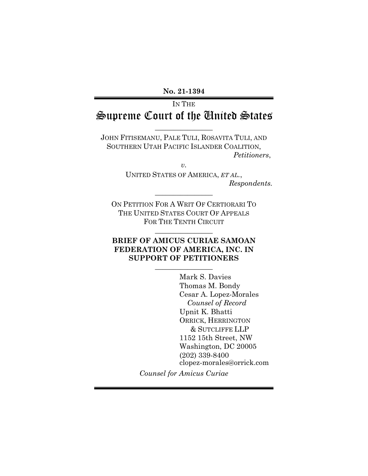**No. 21-1394** 

# IN THE Supreme Court of the United States

 $\overline{\phantom{a}}$  , where  $\overline{\phantom{a}}$ 

JOHN FITISEMANU, PALE TULI, ROSAVITA TULI, AND SOUTHERN UTAH PACIFIC ISLANDER COALITION, *Petitioners*,

*v.*

UNITED STATES OF AMERICA, *ET AL.*, *Respondents.* 

ON PETITION FOR A WRIT OF CERTIORARI TO THE UNITED STATES COURT OF APPEALS FOR THE TENTH CIRCUIT

 $\frac{1}{2}$  ,  $\frac{1}{2}$  ,  $\frac{1}{2}$  ,  $\frac{1}{2}$  ,  $\frac{1}{2}$  ,  $\frac{1}{2}$  ,  $\frac{1}{2}$  ,  $\frac{1}{2}$  ,  $\frac{1}{2}$  ,  $\frac{1}{2}$ 

 $\frac{1}{2}$  ,  $\frac{1}{2}$  ,  $\frac{1}{2}$  ,  $\frac{1}{2}$  ,  $\frac{1}{2}$  ,  $\frac{1}{2}$  ,  $\frac{1}{2}$  ,  $\frac{1}{2}$  ,  $\frac{1}{2}$  ,  $\frac{1}{2}$ 

## **BRIEF OF AMICUS CURIAE SAMOAN FEDERATION OF AMERICA, INC. IN SUPPORT OF PETITIONERS**

 $\frac{1}{2}$  ,  $\frac{1}{2}$  ,  $\frac{1}{2}$  ,  $\frac{1}{2}$  ,  $\frac{1}{2}$  ,  $\frac{1}{2}$  ,  $\frac{1}{2}$  ,  $\frac{1}{2}$  ,  $\frac{1}{2}$  ,  $\frac{1}{2}$ 

Mark S. Davies Thomas M. Bondy Cesar A. Lopez-Morales *Counsel of Record* Upnit K. Bhatti ORRICK, HERRINGTON & SUTCLIFFE LLP 1152 15th Street, NW Washington, DC 20005 (202) 339-8400 clopez-morales@orrick.com

*Counsel for Amicus Curiae*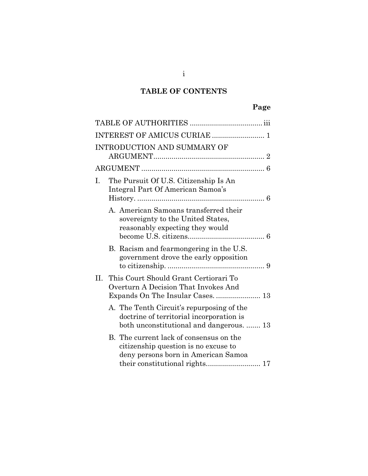## **TABLE OF CONTENTS**

|    |                                                                                   | INTRODUCTION AND SUMMARY OF                                                                                                       |  |  |
|----|-----------------------------------------------------------------------------------|-----------------------------------------------------------------------------------------------------------------------------------|--|--|
|    |                                                                                   |                                                                                                                                   |  |  |
| I. | The Pursuit Of U.S. Citizenship Is An<br>Integral Part Of American Samoa's        |                                                                                                                                   |  |  |
|    |                                                                                   | A. American Samoans transferred their<br>sovereignty to the United States,<br>reasonably expecting they would                     |  |  |
|    |                                                                                   | B. Racism and fearmongering in the U.S.<br>government drove the early opposition                                                  |  |  |
|    | II. This Court Should Grant Certiorari To<br>Overturn A Decision That Invokes And |                                                                                                                                   |  |  |
|    |                                                                                   | A. The Tenth Circuit's repurposing of the<br>doctrine of territorial incorporation is<br>both unconstitutional and dangerous.  13 |  |  |
|    |                                                                                   | B. The current lack of consensus on the<br>citizenship question is no excuse to<br>deny persons born in American Samoa            |  |  |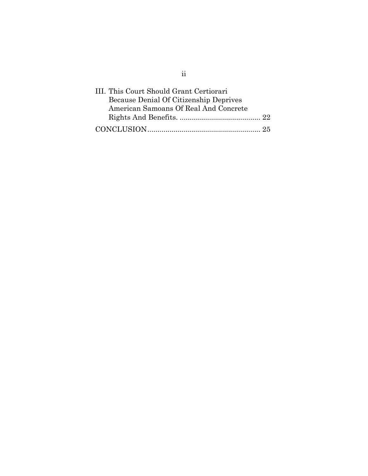| III. This Court Should Grant Certiorari |  |
|-----------------------------------------|--|
| Because Denial Of Citizenship Deprives  |  |
| American Samoans Of Real And Concrete   |  |
|                                         |  |
|                                         |  |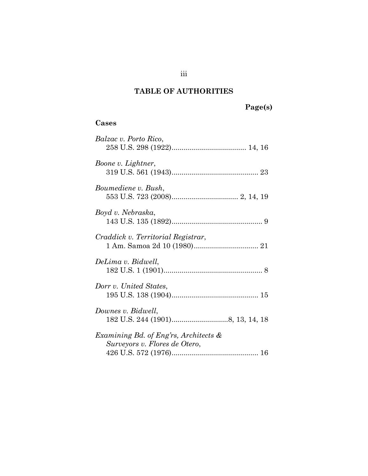## **TABLE OF AUTHORITIES**

# **Page(s)**

## <span id="page-3-0"></span>**Cases**

| Balzac v. Porto Rico,                                                  |
|------------------------------------------------------------------------|
| Boone v. Lightner,                                                     |
| Boumediene v. Bush,                                                    |
| Boyd v. Nebraska,                                                      |
| Craddick v. Territorial Registrar,                                     |
| DeLima v. Bidwell,                                                     |
| Dorr v. United States.                                                 |
| Downes v. Bidwell,                                                     |
| Examining Bd. of Eng'rs, Architects &<br>Surveyors v. Flores de Otero, |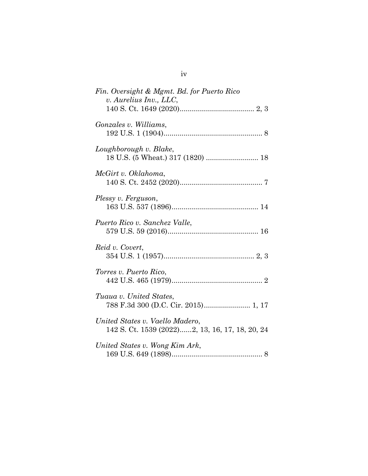| Fin. Oversight & Mgmt. Bd. for Puerto Rico<br>v. Aurelius Inv., LLC,               |
|------------------------------------------------------------------------------------|
| Gonzales v. Williams,                                                              |
| Loughborough v. Blake,<br>18 U.S. (5 Wheat.) 317 (1820)  18                        |
| McGirt v. Oklahoma,                                                                |
| Plessy v. Ferguson,                                                                |
| Puerto Rico v. Sanchez Valle,                                                      |
| Reid v. Covert,                                                                    |
| Torres v. Puerto Rico,                                                             |
| Tuaua v. United States,<br>788 F.3d 300 (D.C. Cir. 2015) 1, 17                     |
| United States v. Vaello Madero,<br>142 S. Ct. 1539 (2022)2, 13, 16, 17, 18, 20, 24 |
| United States v. Wong Kim Ark,                                                     |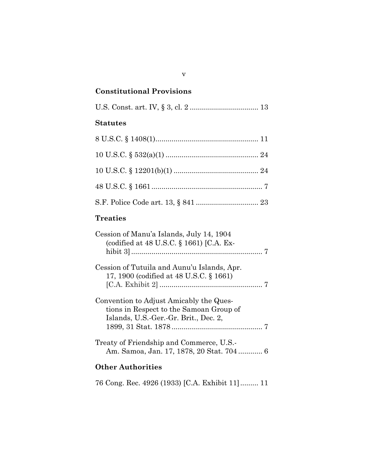## **Constitutional Provisions**

|--|--|--|--|--|--|--|--|--|

## **Statutes**

| <b>Treaties</b>                                                                        |
|----------------------------------------------------------------------------------------|
| Cession of Manu'a Islands, July 14, 1904<br>(codified at 48 U.S.C. § 1661) [C.A. Ex-   |
| Cession of Tutuila and Aunu'u Islands, Apr.<br>17, 1900 (codified at 48 U.S.C. § 1661) |
| $\Omega$                                                                               |

| Convention to Adjust Amicably the Ques- |
|-----------------------------------------|
| tions in Respect to the Samoan Group of |
| Islands, U.S.-Ger.-Gr. Brit., Dec. 2,   |
|                                         |
|                                         |

Treaty of Friendship and Commerce, U.S.- Am. Samoa, Jan. 17, 1878, 20 Stat. 704 ............ 6

## **Other Authorities**

76 Cong. Rec. 4926 (1933) [C.A. Exhibit 11]......... 11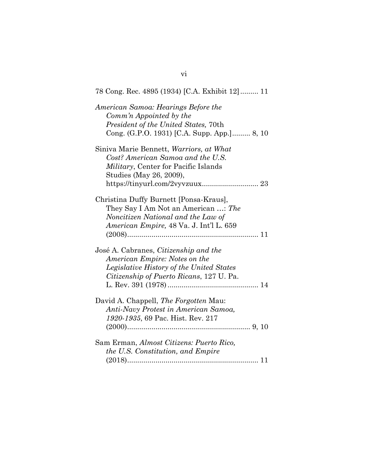| 78 Cong. Rec. 4895 (1934) [C.A. Exhibit 12] 11                                                                                                                                             |
|--------------------------------------------------------------------------------------------------------------------------------------------------------------------------------------------|
| American Samoa: Hearings Before the<br>Comm'n Appointed by the<br>President of the United States, 70th<br>Cong. (G.P.O. 1931) [C.A. Supp. App.] 8, 10                                      |
| Siniva Marie Bennett, Warriors, at What<br>Cost? American Samoa and the U.S.<br><i>Military</i> , Center for Pacific Islands<br>Studies (May 26, 2009),<br>https://tinyurl.com/2vyvzuux 23 |
| Christina Duffy Burnett [Ponsa-Kraus],<br>They Say I Am Not an American : The<br>Noncitizen National and the Law of<br>American Empire, 48 Va. J. Int'l L. 659                             |
| José A. Cabranes, Citizenship and the<br>American Empire: Notes on the<br>Legislative History of the United States<br>Citizenship of Puerto Ricans, 127 U. Pa.                             |
| David A. Chappell, <i>The Forgotten</i> Mau:<br>Anti-Navy Protest in American Samoa,<br>1920-1935, 69 Pac. Hist. Rev. 217                                                                  |
| Sam Erman, Almost Citizens: Puerto Rico,<br>the U.S. Constitution, and Empire                                                                                                              |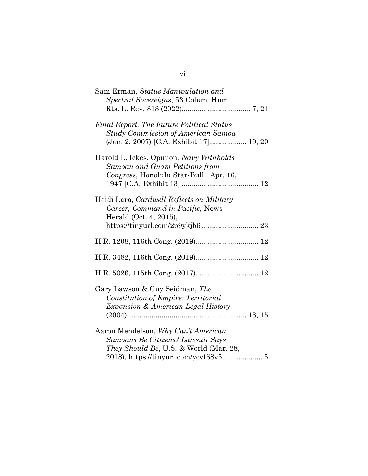| Sam Erman, Status Manipulation and<br>Spectral Sovereigns, 53 Colum. Hum.                                                                    |
|----------------------------------------------------------------------------------------------------------------------------------------------|
| Final Report, The Future Political Status<br><b>Study Commission of American Samoa</b><br>(Jan. 2, 2007) [C.A. Exhibit 17] 19, 20            |
| Harold L. Ickes, Opinion, Navy Withholds<br>Samoan and Guam Petitions from<br>Congress, Honolulu Star-Bull., Apr. 16,                        |
| Heidi Lara, Cardwell Reflects on Military<br>Career, Command in Pacific, News-<br>Herald (Oct. 4, 2015),<br>https://tinyurl.com/2p9ykjb6  23 |
|                                                                                                                                              |
|                                                                                                                                              |
|                                                                                                                                              |
| Gary Lawson & Guy Seidman, The<br>Constitution of Empire: Territorial<br><i>Expansion &amp; American Legal History</i>                       |
| Aaron Mendelson, Why Can't American<br>Samoans Be Citizens? Lawsuit Says<br><i>They Should Be, U.S. &amp; World (Mar. 28,</i>                |

## vii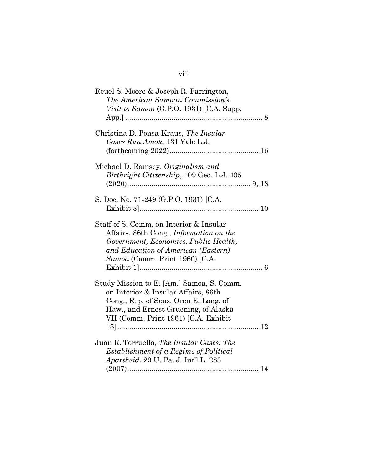## viii

| Reuel S. Moore & Joseph R. Farrington,<br>The American Samoan Commission's<br>Visit to Samoa $(G.P.O. 1931)$ [C.A. Supp.                                                                                    |
|-------------------------------------------------------------------------------------------------------------------------------------------------------------------------------------------------------------|
| Christina D. Ponsa-Kraus, The Insular<br>Cases Run Amok, 131 Yale L.J.                                                                                                                                      |
| Michael D. Ramsey, Originalism and<br>Birthright Citizenship, 109 Geo. L.J. 405                                                                                                                             |
| S. Doc. No. 71-249 (G.P.O. 1931) [C.A.                                                                                                                                                                      |
| Staff of S. Comm. on Interior & Insular<br>Affairs, 86th Cong., <i>Information on the</i><br>Government, Economics, Public Health,<br>and Education of American (Eastern)<br>Samoa (Comm. Print 1960) [C.A. |
| Study Mission to E. [Am.] Samoa, S. Comm.<br>on Interior & Insular Affairs, 86th<br>Cong., Rep. of Sens. Oren E. Long, of<br>Haw., and Ernest Gruening, of Alaska<br>VII (Comm. Print 1961) [C.A. Exhibit   |
| Juan R. Torruella, The Insular Cases: The<br>Establishment of a Regime of Political<br><i>Apartheid</i> , 29 U. Pa. J. Int'l L. 283                                                                         |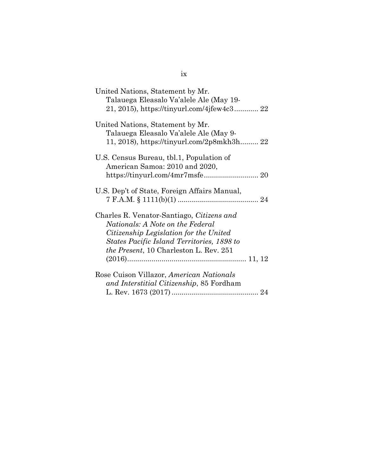| United Nations, Statement by Mr.<br>Talauega Eleasalo Va'alele Ale (May 19-<br>21, 2015), https://tinyurl.com/4jfew4c3 22                                                                                               |  |
|-------------------------------------------------------------------------------------------------------------------------------------------------------------------------------------------------------------------------|--|
| United Nations, Statement by Mr.<br>Talauega Eleasalo Va'alele Ale (May 9-<br>11, 2018), https://tinyurl.com/2p8mkh3h 22                                                                                                |  |
| U.S. Census Bureau, tbl.1, Population of<br>American Samoa: 2010 and 2020,                                                                                                                                              |  |
| U.S. Dep't of State, Foreign Affairs Manual,                                                                                                                                                                            |  |
| Charles R. Venator-Santiago, Citizens and<br>Nationals: A Note on the Federal<br>Citizenship Legislation for the United<br>States Pacific Island Territories, 1898 to<br><i>the Present</i> , 10 Charleston L. Rev. 251 |  |
| Rose Cuison Villazor, American Nationals<br>and Interstitial Citizenship, 85 Fordham                                                                                                                                    |  |
|                                                                                                                                                                                                                         |  |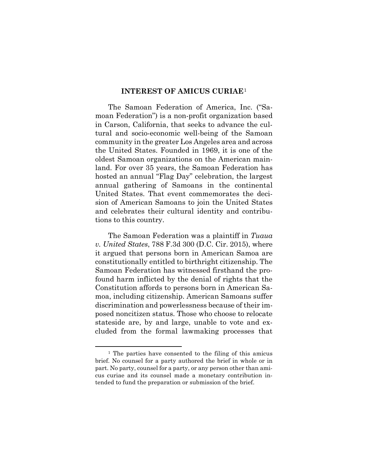#### **INTEREST OF AMICUS CURIAE**[1](#page-10-1)

<span id="page-10-0"></span>The Samoan Federation of America, Inc. ("Samoan Federation") is a non-profit organization based in Carson, California, that seeks to advance the cultural and socio-economic well-being of the Samoan community in the greater Los Angeles area and across the United States. Founded in 1969, it is one of the oldest Samoan organizations on the American mainland. For over 35 years, the Samoan Federation has hosted an annual "Flag Day" celebration, the largest annual gathering of Samoans in the continental United States. That event commemorates the decision of American Samoans to join the United States and celebrates their cultural identity and contributions to this country.

The Samoan Federation was a plaintiff in *Tuaua v. United States*, 788 F.3d 300 (D.C. Cir. 2015), where it argued that persons born in American Samoa are constitutionally entitled to birthright citizenship. The Samoan Federation has witnessed firsthand the profound harm inflicted by the denial of rights that the Constitution affords to persons born in American Samoa, including citizenship. American Samoans suffer discrimination and powerlessness because of their imposed noncitizen status. Those who choose to relocate stateside are, by and large, unable to vote and excluded from the formal lawmaking processes that

<span id="page-10-1"></span><sup>1</sup> The parties have consented to the filing of this amicus brief. No counsel for a party authored the brief in whole or in part. No party, counsel for a party, or any person other than amicus curiae and its counsel made a monetary contribution intended to fund the preparation or submission of the brief.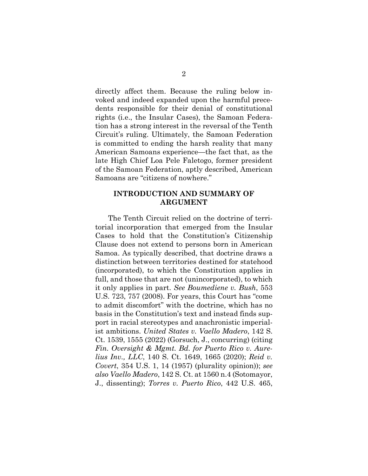directly affect them. Because the ruling below invoked and indeed expanded upon the harmful precedents responsible for their denial of constitutional rights (i.e., the Insular Cases), the Samoan Federation has a strong interest in the reversal of the Tenth Circuit's ruling. Ultimately, the Samoan Federation is committed to ending the harsh reality that many American Samoans experience—the fact that, as the late High Chief Loa Pele Faletogo, former president of the Samoan Federation, aptly described, American Samoans are "citizens of nowhere."

### <span id="page-11-0"></span>**INTRODUCTION AND SUMMARY OF ARGUMENT**

The Tenth Circuit relied on the doctrine of territorial incorporation that emerged from the Insular Cases to hold that the Constitution's Citizenship Clause does not extend to persons born in American Samoa. As typically described, that doctrine draws a distinction between territories destined for statehood (incorporated), to which the Constitution applies in full, and those that are not (unincorporated), to which it only applies in part. *See Boumediene v. Bush*, 553 U.S. 723, 757 (2008). For years, this Court has "come to admit discomfort" with the doctrine, which has no basis in the Constitution's text and instead finds support in racial stereotypes and anachronistic imperialist ambitions. *United States v. Vaello Madero*, 142 S. Ct. 1539, 1555 (2022) (Gorsuch, J., concurring) (citing *Fin. Oversight & Mgmt. Bd. for Puerto Rico v. Aurelius Inv., LLC*, 140 S. Ct. 1649, 1665 (2020); *Reid v. Covert*, 354 U.S. 1, 14 (1957) (plurality opinion)); *see also Vaello Madero*, 142 S. Ct. at 1560 n.4 (Sotomayor, J., dissenting); *Torres v. Puerto Rico*, 442 U.S. 465,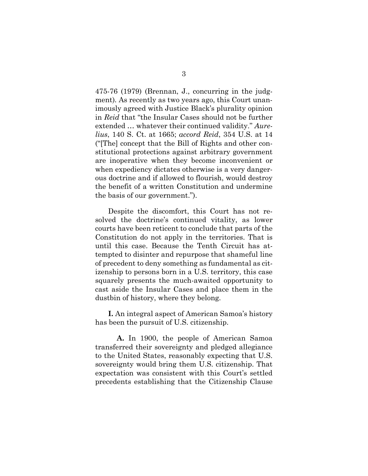475-76 (1979) (Brennan, J., concurring in the judgment)*.* As recently as two years ago, this Court unanimously agreed with Justice Black's plurality opinion in *Reid* that "the Insular Cases should not be further extended … whatever their continued validity." *Aurelius*, 140 S. Ct. at 1665; *accord Reid*, 354 U.S. at 14 ("[The] concept that the Bill of Rights and other constitutional protections against arbitrary government are inoperative when they become inconvenient or when expediency dictates otherwise is a very dangerous doctrine and if allowed to flourish, would destroy the benefit of a written Constitution and undermine the basis of our government.").

Despite the discomfort, this Court has not resolved the doctrine's continued vitality, as lower courts have been reticent to conclude that parts of the Constitution do not apply in the territories. That is until this case. Because the Tenth Circuit has attempted to disinter and repurpose that shameful line of precedent to deny something as fundamental as citizenship to persons born in a U.S. territory, this case squarely presents the much-awaited opportunity to cast aside the Insular Cases and place them in the dustbin of history, where they belong.

**I.** An integral aspect of American Samoa's history has been the pursuit of U.S. citizenship.

**A.** In 1900, the people of American Samoa transferred their sovereignty and pledged allegiance to the United States, reasonably expecting that U.S. sovereignty would bring them U.S. citizenship. That expectation was consistent with this Court's settled precedents establishing that the Citizenship Clause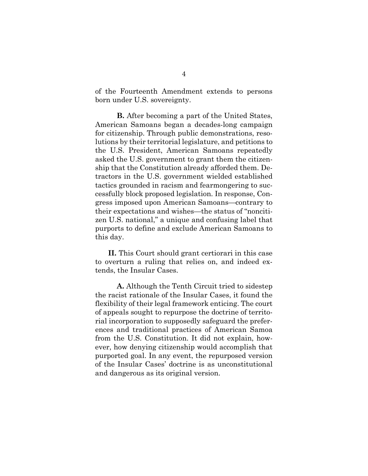of the Fourteenth Amendment extends to persons born under U.S. sovereignty.

**B.** After becoming a part of the United States, American Samoans began a decades-long campaign for citizenship. Through public demonstrations, resolutions by their territorial legislature, and petitions to the U.S. President, American Samoans repeatedly asked the U.S. government to grant them the citizenship that the Constitution already afforded them. Detractors in the U.S. government wielded established tactics grounded in racism and fearmongering to successfully block proposed legislation. In response, Congress imposed upon American Samoans—contrary to their expectations and wishes—the status of "noncitizen U.S. national," a unique and confusing label that purports to define and exclude American Samoans to this day.

**II.** This Court should grant certiorari in this case to overturn a ruling that relies on, and indeed extends, the Insular Cases.

**A.** Although the Tenth Circuit tried to sidestep the racist rationale of the Insular Cases, it found the flexibility of their legal framework enticing. The court of appeals sought to repurpose the doctrine of territorial incorporation to supposedly safeguard the preferences and traditional practices of American Samoa from the U.S. Constitution. It did not explain, however, how denying citizenship would accomplish that purported goal. In any event, the repurposed version of the Insular Cases' doctrine is as unconstitutional and dangerous as its original version.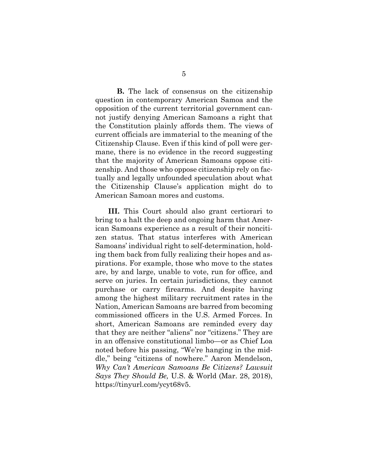**B.** The lack of consensus on the citizenship question in contemporary American Samoa and the opposition of the current territorial government cannot justify denying American Samoans a right that the Constitution plainly affords them. The views of current officials are immaterial to the meaning of the Citizenship Clause. Even if this kind of poll were germane, there is no evidence in the record suggesting that the majority of American Samoans oppose citizenship. And those who oppose citizenship rely on factually and legally unfounded speculation about what the Citizenship Clause's application might do to American Samoan mores and customs.

**III.** This Court should also grant certiorari to bring to a halt the deep and ongoing harm that American Samoans experience as a result of their noncitizen status. That status interferes with American Samoans' individual right to self-determination, holding them back from fully realizing their hopes and aspirations. For example, those who move to the states are, by and large, unable to vote, run for office, and serve on juries. In certain jurisdictions, they cannot purchase or carry firearms. And despite having among the highest military recruitment rates in the Nation, American Samoans are barred from becoming commissioned officers in the U.S. Armed Forces. In short, American Samoans are reminded every day that they are neither "aliens" nor "citizens." They are in an offensive constitutional limbo—or as Chief Loa noted before his passing, "We're hanging in the middle," being "citizens of nowhere." Aaron Mendelson, *Why Can't American Samoans Be Citizens? Lawsuit Says They Should Be,* U.S. & World (Mar. 28, 2018), [https://tinyurl.com/ycyt68v5.](https://tinyurl.com/ycyt68v5)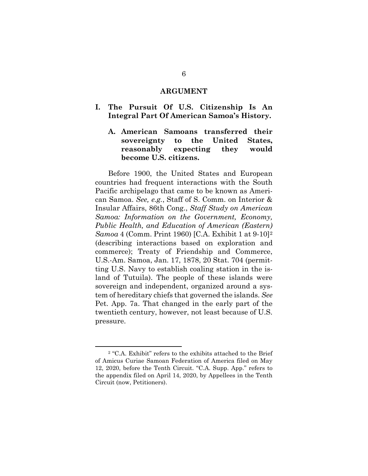#### **ARGUMENT**

- <span id="page-15-2"></span><span id="page-15-1"></span><span id="page-15-0"></span>**I. The Pursuit Of U.S. Citizenship Is An Integral Part Of American Samoa's History.** 
	- **A. American Samoans transferred their sovereignty to the United States, reasonably expecting they would become U.S. citizens.**

Before 1900, the United States and European countries had frequent interactions with the South Pacific archipelago that came to be known as American Samoa. *See, e.g.*, Staff of S. Comm. on Interior & Insular Affairs, 86th Cong., *Staff Study on American Samoa: Information on the Government, Economy, Public Health, and Education of American (Eastern) Samoa* 4 (Comm. Print 1960) [C.A. Exhibit 1 at 9-10]<sup>[2](#page-15-3)</sup> (describing interactions based on exploration and commerce); Treaty of Friendship and Commerce, U.S.-Am. Samoa, Jan. 17, 1878, 20 Stat. 704 (permitting U.S. Navy to establish coaling station in the island of Tutuila). The people of these islands were sovereign and independent, organized around a system of hereditary chiefs that governed the islands. *See*  Pet. App. 7a. That changed in the early part of the twentieth century, however, not least because of U.S. pressure.

<span id="page-15-3"></span><sup>2 &</sup>quot;C.A. Exhibit" refers to the exhibits attached to the Brief of Amicus Curiae Samoan Federation of America filed on May 12, 2020, before the Tenth Circuit. "C.A. Supp. App." refers to the appendix filed on April 14, 2020, by Appellees in the Tenth Circuit (now, Petitioners).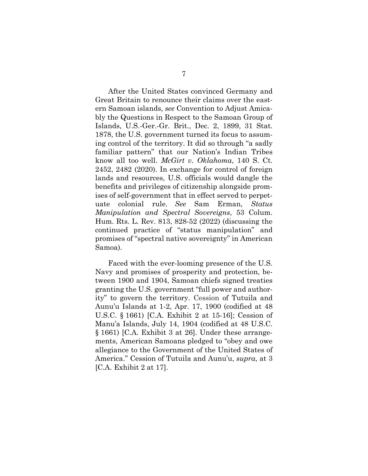After the United States convinced Germany and Great Britain to renounce their claims over the eastern Samoan islands, *see* Convention to Adjust Amicably the Questions in Respect to the Samoan Group of Islands, U.S.-Ger.-Gr. Brit., Dec. 2, 1899, 31 Stat. 1878, the U.S. government turned its focus to assuming control of the territory. It did so through "a sadly familiar pattern" that our Nation's Indian Tribes know all too well. *McGirt v. Oklahoma*, 140 S. Ct. 2452, 2482 (2020). In exchange for control of foreign lands and resources, U.S. officials would dangle the benefits and privileges of citizenship alongside promises of self-government that in effect served to perpetuate colonial rule. *See* Sam Erman, *Status Manipulation and Spectral Sovereigns*, 53 Colum. Hum. Rts. L. Rev. 813, 828-52 (2022) (discussing the continued practice of "status manipulation" and promises of "spectral native sovereignty" in American Samoa).

Faced with the ever-looming presence of the U.S. Navy and promises of prosperity and protection, between 1900 and 1904, Samoan chiefs signed treaties granting the U.S. government "full power and authority" to govern the territory. Cession of Tutuila and Aunu'u Islands at 1-2, Apr. 17, 1900 (codified at 48 U.S.C. § 1661) [C.A. Exhibit 2 at 15-16]; Cession of Manu'a Islands, July 14, 1904 (codified at 48 U.S.C. § 1661) [C.A. Exhibit 3 at 26]. Under these arrangements, American Samoans pledged to "obey and owe allegiance to the Government of the United States of America." Cession of Tutuila and Aunu'u, *supra*, at 3 [C.A. Exhibit 2 at 17].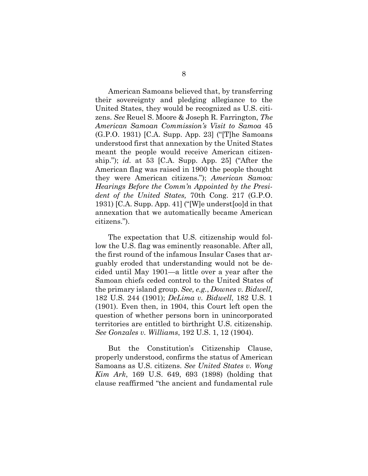American Samoans believed that, by transferring their sovereignty and pledging allegiance to the United States, they would be recognized as U.S. citizens. *See* Reuel S. Moore & Joseph R. Farrington, *The American Samoan Commission's Visit to Samoa* 45 (G.P.O. 1931) [C.A. Supp. App. 23] ("[T]he Samoans understood first that annexation by the United States meant the people would receive American citizenship."); *id.* at 53 [C.A. Supp. App. 25] ("After the American flag was raised in 1900 the people thought they were American citizens."); *American Samoa: Hearings Before the Comm'n Appointed by the President of the United States,* 70th Cong. 217 (G.P.O. 1931) [C.A. Supp. App. 41] ("[W]e underst[oo]d in that annexation that we automatically became American citizens.").

The expectation that U.S. citizenship would follow the U.S. flag was eminently reasonable. After all, the first round of the infamous Insular Cases that arguably eroded that understanding would not be decided until May 1901—a little over a year after the Samoan chiefs ceded control to the United States of the primary island group. *See, e.g.*, *Downes v. Bidwell*, 182 U.S. 244 (1901); *DeLima v. Bidwell*, 182 U.S. 1 (1901). Even then, in 1904, this Court left open the question of whether persons born in unincorporated territories are entitled to birthright U.S. citizenship. *See Gonzales v. Williams*, 192 U.S. 1, 12 (1904).

But the Constitution's Citizenship Clause, properly understood, confirms the status of American Samoans as U.S. citizens. *See United States v. Wong Kim Ark*, 169 U.S. 649, 693 (1898) (holding that clause reaffirmed "the ancient and fundamental rule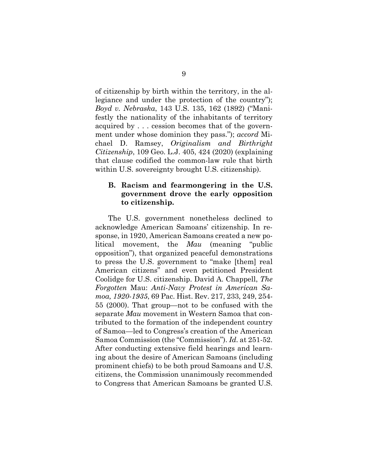of citizenship by birth within the territory, in the allegiance and under the protection of the country"); *Boyd v. Nebraska*, 143 U.S. 135, 162 (1892) ("Manifestly the nationality of the inhabitants of territory acquired by . . . cession becomes that of the government under whose dominion they pass."); *accord* Michael D. Ramsey, *Originalism and Birthright Citizenship*, 109 Geo. L.J. 405, 424 (2020) (explaining that clause codified the common-law rule that birth within U.S. sovereignty brought U.S. citizenship).

#### <span id="page-18-0"></span>**B. Racism and fearmongering in the U.S. government drove the early opposition to citizenship.**

The U.S. government nonetheless declined to acknowledge American Samoans' citizenship. In response, in 1920, American Samoans created a new political movement, the *Mau* (meaning "public opposition"), that organized peaceful demonstrations to press the U.S. government to "make [them] real American citizens" and even petitioned President Coolidge for U.S. citizenship. David A. Chappell, *The Forgotten* Mau: *Anti-Navy Protest in American Samoa, 1920-1935*, 69 Pac. Hist. Rev. 217, 233, 249, 254- 55 (2000). That group—not to be confused with the separate *Mau* movement in Western Samoa that contributed to the formation of the independent country of Samoa—led to Congress's creation of the American Samoa Commission (the "Commission"). *Id.* at 251-52. After conducting extensive field hearings and learning about the desire of American Samoans (including prominent chiefs) to be both proud Samoans and U.S. citizens, the Commission unanimously recommended to Congress that American Samoans be granted U.S.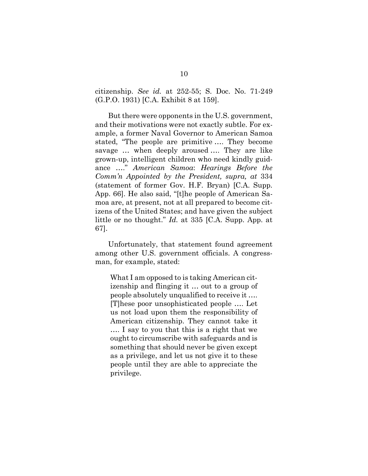citizenship. *See id.* at 252-55; S. Doc. No. 71-249 (G.P.O. 1931) [C.A. Exhibit 8 at 159].

But there were opponents in the U.S. government, and their motivations were not exactly subtle. For example, a former Naval Governor to American Samoa stated, "The people are primitive …. They become savage … when deeply aroused …. They are like grown-up, intelligent children who need kindly guidance …." *American Samoa*: *Hearings Before the Comm'n Appointed by the President, supra, at* 334 (statement of former Gov. H.F. Bryan) [C.A. Supp. App. 66]. He also said, "[t]he people of American Samoa are, at present, not at all prepared to become citizens of the United States; and have given the subject little or no thought." *Id.* at 335 [C.A. Supp. App. at 67].

Unfortunately, that statement found agreement among other U.S. government officials. A congressman, for example, stated:

What I am opposed to is taking American citizenship and flinging it … out to a group of people absolutely unqualified to receive it …. [T]hese poor unsophisticated people …. Let us not load upon them the responsibility of American citizenship. They cannot take it …. I say to you that this is a right that we ought to circumscribe with safeguards and is something that should never be given except as a privilege, and let us not give it to these people until they are able to appreciate the privilege.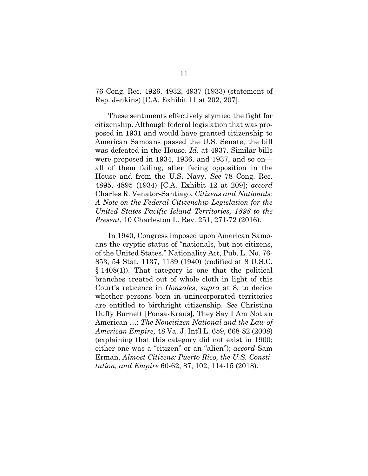76 Cong. Rec. 4926, 4932, 4937 (1933) (statement of Rep. Jenkins) [C.A. Exhibit 11 at 202, 207].

These sentiments effectively stymied the fight for citizenship. Although federal legislation that was proposed in 1931 and would have granted citizenship to American Samoans passed the U.S. Senate, the bill was defeated in the House. *Id.* at 4937. Similar bills were proposed in 1934, 1936, and 1937, and so on all of them failing, after facing opposition in the House and from the U.S. Navy. *See* 78 Cong. Rec. 4895, 4895 (1934) [C.A. Exhibit 12 at 209]; *accord*  Charles R. Venator-Santiago, *Citizens and Nationals: A Note on the Federal Citizenship Legislation for the United States Pacific Island Territories, 1898 to the Present*, 10 Charleston L. Rev. 251, 271-72 (2016).

In 1940, Congress imposed upon American Samoans the cryptic status of "nationals, but not citizens, of the United States." Nationality Act, Pub. L. No. 76- 853, 54 Stat. 1137, 1139 (1940) (codified at 8 U.S.C. § 1408(1)). That category is one that the political branches created out of whole cloth in light of this Court's reticence in *Gonzales*, *supra* at 8, to decide whether persons born in unincorporated territories are entitled to birthright citizenship. *See* Christina Duffy Burnett [Ponsa-Kraus], They Say I Am Not an American …: *The Noncitizen National and the Law of American Empire,* 48 Va. J. Int'l L. 659, 668-82 (2008) (explaining that this category did not exist in 1900; either one was a "citizen" or an "alien"); *accord* Sam Erman, *Almost Citizens: Puerto Rico, the U.S. Constitution, and Empire* 60-62, 87, 102, 114-15 (2018).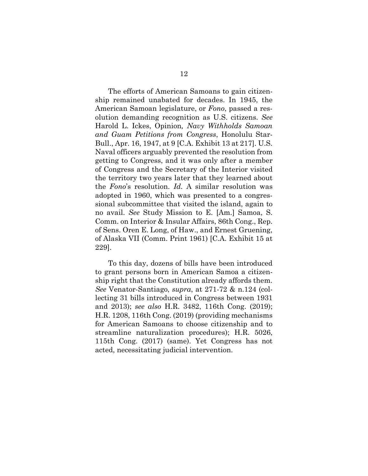The efforts of American Samoans to gain citizenship remained unabated for decades. In 1945, the American Samoan legislature, or *Fono*, passed a resolution demanding recognition as U.S. citizens. *See* Harold L. Ickes, Opinion*, Navy Withholds Samoan and Guam Petitions from Congress*, Honolulu Star-Bull., Apr. 16, 1947, at 9 [C.A. Exhibit 13 at 217]. U.S. Naval officers arguably prevented the resolution from getting to Congress, and it was only after a member of Congress and the Secretary of the Interior visited the territory two years later that they learned about the *Fono*'s resolution. *Id.* A similar resolution was adopted in 1960, which was presented to a congressional subcommittee that visited the island, again to no avail. *See* Study Mission to E. [Am.] Samoa, S. Comm. on Interior & Insular Affairs, 86th Cong., Rep. of Sens. Oren E. Long, of Haw., and Ernest Gruening, of Alaska VII (Comm. Print 1961) [C.A. Exhibit 15 at 229].

To this day, dozens of bills have been introduced to grant persons born in American Samoa a citizenship right that the Constitution already affords them. *See* Venator-Santiago, *supra*, at 271-72 & n.124 (collecting 31 bills introduced in Congress between 1931 and 2013); *see also* H.R. 3482, 116th Cong. (2019); H.R. 1208, 116th Cong. (2019) (providing mechanisms for American Samoans to choose citizenship and to streamline naturalization procedures); H.R. 5026, 115th Cong. (2017) (same). Yet Congress has not acted, necessitating judicial intervention.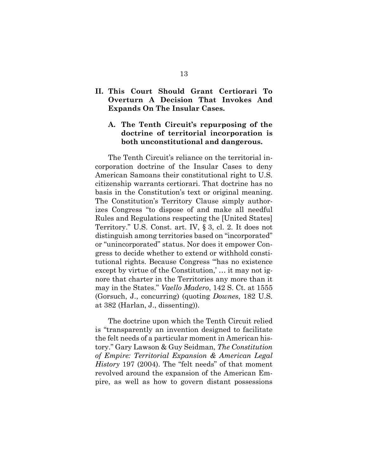## <span id="page-22-0"></span>**II. This Court Should Grant Certiorari To Overturn A Decision That Invokes And Expands On The Insular Cases.**

## <span id="page-22-1"></span>**A. The Tenth Circuit's repurposing of the doctrine of territorial incorporation is both unconstitutional and dangerous.**

The Tenth Circuit's reliance on the territorial incorporation doctrine of the Insular Cases to deny American Samoans their constitutional right to U.S. citizenship warrants certiorari. That doctrine has no basis in the Constitution's text or original meaning. The Constitution's Territory Clause simply authorizes Congress "to dispose of and make all needful Rules and Regulations respecting the [United States] Territory." U.S. Const. art. IV, § 3, cl. 2. It does not distinguish among territories based on "incorporated" or "unincorporated" status. Nor does it empower Congress to decide whether to extend or withhold constitutional rights. Because Congress "'has no existence except by virtue of the Constitution,' … it may not ignore that charter in the Territories any more than it may in the States." *Vaello Madero*, 142 S. Ct. at 1555 (Gorsuch, J., concurring) (quoting *Downes*, 182 U.S. at 382 (Harlan, J., dissenting)).

The doctrine upon which the Tenth Circuit relied is "transparently an invention designed to facilitate the felt needs of a particular moment in American history." Gary Lawson & Guy Seidman, *The Constitution of Empire: Territorial Expansion & American Legal History* 197 (2004). The "felt needs" of that moment revolved around the expansion of the American Empire, as well as how to govern distant possessions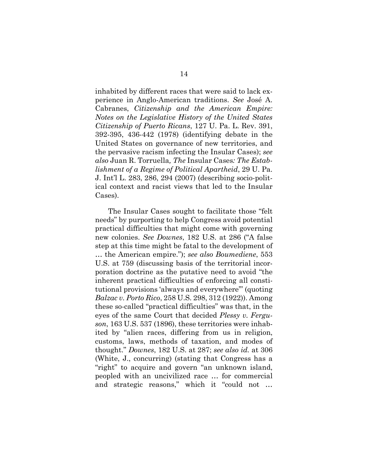inhabited by different races that were said to lack experience in Anglo-American traditions. *See* José A. Cabranes, *Citizenship and the American Empire: Notes on the Legislative History of the United States Citizenship of Puerto Ricans*, 127 U. Pa. L. Rev. 391, 392-395, 436-442 (1978) (identifying debate in the United States on governance of new territories, and the pervasive racism infecting the Insular Cases); *see also* Juan R. Torruella*, The* Insular Cases*: The Establishment of a Regime of Political Apartheid*, 29 U. Pa. J. Int'l L. 283, 286, 294 (2007) (describing socio-political context and racist views that led to the Insular Cases).

The Insular Cases sought to facilitate those "felt needs" by purporting to help Congress avoid potential practical difficulties that might come with governing new colonies. *See Downes*, 182 U.S. at 286 ("A false step at this time might be fatal to the development of … the American empire."); *see also Boumediene*, 553 U.S. at 759 (discussing basis of the territorial incorporation doctrine as the putative need to avoid "the inherent practical difficulties of enforcing all constitutional provisions 'always and everywhere'" (quoting *Balzac v. Porto Rico*, 258 U.S. 298, 312 (1922)). Among these so-called "practical difficulties" was that, in the eyes of the same Court that decided *Plessy v. Ferguson*, 163 U.S. 537 (1896), these territories were inhabited by "alien races, differing from us in religion, customs, laws, methods of taxation, and modes of thought." *Downes*, 182 U.S. at 287; *see also id.* at 306 (White, J., concurring) (stating that Congress has a "right" to acquire and govern "an unknown island, peopled with an uncivilized race … for commercial and strategic reasons," which it "could not …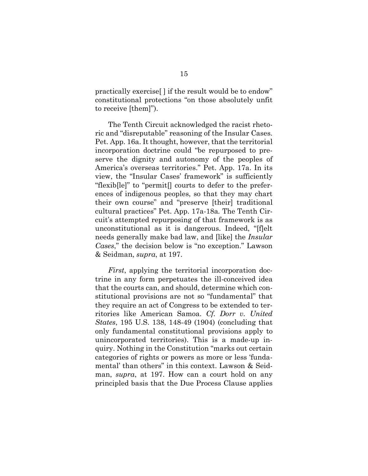practically exercise[ ] if the result would be to endow" constitutional protections "on those absolutely unfit to receive [them]").

The Tenth Circuit acknowledged the racist rhetoric and "disreputable" reasoning of the Insular Cases. Pet. App. 16a. It thought, however, that the territorial incorporation doctrine could "be repurposed to preserve the dignity and autonomy of the peoples of America's overseas territories." Pet. App. 17a. In its view, the "Insular Cases' framework" is sufficiently "flexib[le]" to "permit[] courts to defer to the preferences of indigenous peoples, so that they may chart their own course" and "preserve [their] traditional cultural practices" Pet. App. 17a-18a*.* The Tenth Circuit's attempted repurposing of that framework is as unconstitutional as it is dangerous. Indeed, "[f]elt needs generally make bad law, and [like] the *Insular Cases*," the decision below is "no exception." Lawson & Seidman, *supra*, at 197.

*First*, applying the territorial incorporation doctrine in any form perpetuates the ill-conceived idea that the courts can, and should, determine which constitutional provisions are not so "fundamental" that they require an act of Congress to be extended to territories like American Samoa. *Cf. Dorr v. United States*, 195 U.S. 138, 148-49 (1904) (concluding that only fundamental constitutional provisions apply to unincorporated territories). This is a made-up inquiry. Nothing in the Constitution "marks out certain categories of rights or powers as more or less 'fundamental' than others" in this context. Lawson & Seidman, *supra*, at 197. How can a court hold on any principled basis that the Due Process Clause applies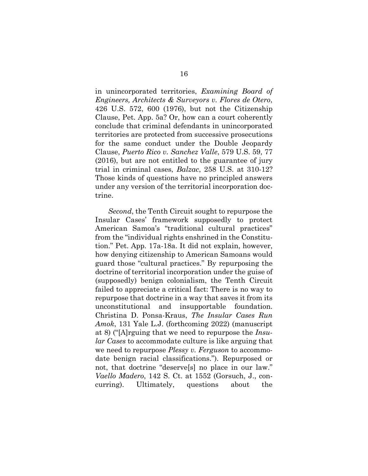in unincorporated territories, *Examining Board of Engineers, Architects & Surveyors v. Flores de Otero*, 426 U.S. 572, 600 (1976), but not the Citizenship Clause, Pet. App. 5a? Or, how can a court coherently conclude that criminal defendants in unincorporated territories are protected from successive prosecutions for the same conduct under the Double Jeopardy Clause, *Puerto Rico v. Sanchez Valle*, 579 U.S. 59, 77 (2016), but are not entitled to the guarantee of jury trial in criminal cases, *Balzac*, 258 U.S. at 310-12? Those kinds of questions have no principled answers under any version of the territorial incorporation doctrine.

*Second*, the Tenth Circuit sought to repurpose the Insular Cases' framework supposedly to protect American Samoa's "traditional cultural practices" from the "individual rights enshrined in the Constitution." Pet. App. 17a-18a. It did not explain, however, how denying citizenship to American Samoans would guard those "cultural practices." By repurposing the doctrine of territorial incorporation under the guise of (supposedly) benign colonialism, the Tenth Circuit failed to appreciate a critical fact: There is no way to repurpose that doctrine in a way that saves it from its unconstitutional and insupportable foundation. Christina D. Ponsa-Kraus, *The Insular Cases Run Amok*, 131 Yale L.J. (forthcoming 2022) (manuscript at 8) ("[A]rguing that we need to repurpose the *Insular Cases* to accommodate culture is like arguing that we need to repurpose *Plessy v. Ferguson* to accommodate benign racial classifications."). Repurposed or not, that doctrine "deserve[s] no place in our law." *Vaello Madero*, 142 S. Ct. at 1552 (Gorsuch, J., concurring). Ultimately, questions about the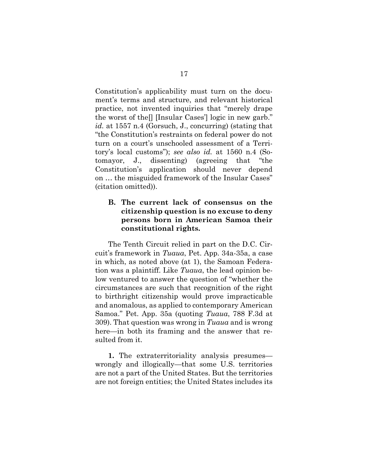Constitution's applicability must turn on the document's terms and structure, and relevant historical practice, not invented inquiries that "merely drape the worst of the[] [Insular Cases'] logic in new garb." *id.* at 1557 n.4 (Gorsuch, J., concurring) (stating that "the Constitution's restraints on federal power do not turn on a court's unschooled assessment of a Territory's local customs"); *see also id.* at 1560 n.4 (Sotomayor, J., dissenting) (agreeing that "the Constitution's application should never depend on … the misguided framework of the Insular Cases" (citation omitted)).

## <span id="page-26-0"></span>**B. The current lack of consensus on the citizenship question is no excuse to deny persons born in American Samoa their constitutional rights.**

The Tenth Circuit relied in part on the D.C. Circuit's framework in *Tuaua*, Pet. App. 34a-35a, a case in which, as noted above (at 1), the Samoan Federation was a plaintiff. Like *Tuaua*, the lead opinion below ventured to answer the question of "whether the circumstances are such that recognition of the right to birthright citizenship would prove impracticable and anomalous, as applied to contemporary American Samoa." Pet. App. 35a (quoting *Tuaua*, 788 F.3d at 309). That question was wrong in *Tuaua* and is wrong here—in both its framing and the answer that resulted from it.

**1.** The extraterritoriality analysis presumes wrongly and illogically—that some U.S. territories are not a part of the United States. But the territories are not foreign entities; the United States includes its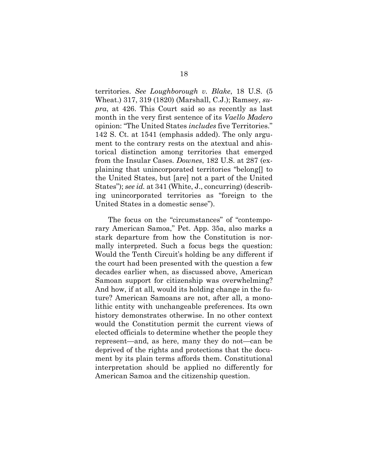territories. *See Loughborough v. Blake*, 18 U.S. (5 Wheat.) 317, 319 (1820) (Marshall, C.J.); Ramsey, *supra*, at 426. This Court said so as recently as last month in the very first sentence of its *Vaello Madero* opinion: "The United States *includes* five Territories." 142 S. Ct. at 1541 (emphasis added). The only argument to the contrary rests on the atextual and ahistorical distinction among territories that emerged from the Insular Cases. *Downes*, 182 U.S. at 287 (explaining that unincorporated territories "belong[] to the United States, but [are] not a part of the United States"); *see id.* at 341 (White, J., concurring) (describing unincorporated territories as "foreign to the United States in a domestic sense").

The focus on the "circumstances" of "contemporary American Samoa," Pet. App. 35a, also marks a stark departure from how the Constitution is normally interpreted. Such a focus begs the question: Would the Tenth Circuit's holding be any different if the court had been presented with the question a few decades earlier when, as discussed above, American Samoan support for citizenship was overwhelming? And how, if at all, would its holding change in the future? American Samoans are not, after all, a monolithic entity with unchangeable preferences. Its own history demonstrates otherwise. In no other context would the Constitution permit the current views of elected officials to determine whether the people they represent—and, as here, many they do not—can be deprived of the rights and protections that the document by its plain terms affords them. Constitutional interpretation should be applied no differently for American Samoa and the citizenship question.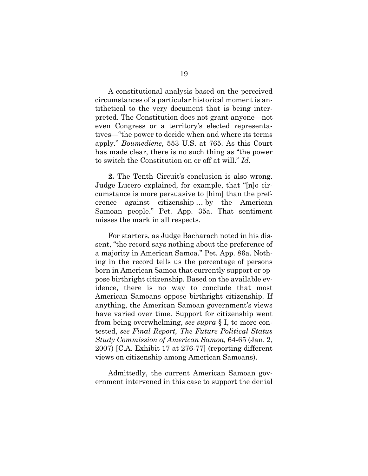A constitutional analysis based on the perceived circumstances of a particular historical moment is antithetical to the very document that is being interpreted. The Constitution does not grant anyone—not even Congress or a territory's elected representatives—"the power to decide when and where its terms apply." *Boumediene*, 553 U.S. at 765. As this Court has made clear, there is no such thing as "the power to switch the Constitution on or off at will." *Id.*

**2.** The Tenth Circuit's conclusion is also wrong. Judge Lucero explained, for example, that "[n]o circumstance is more persuasive to [him] than the preference against citizenship … by the American Samoan people." Pet. App. 35a. That sentiment misses the mark in all respects.

For starters, as Judge Bacharach noted in his dissent, "the record says nothing about the preference of a majority in American Samoa." Pet. App. 86a. Nothing in the record tells us the percentage of persons born in American Samoa that currently support or oppose birthright citizenship. Based on the available evidence, there is no way to conclude that most American Samoans oppose birthright citizenship. If anything, the American Samoan government's views have varied over time. Support for citizenship went from being overwhelming, *see supra* § I, to more contested, *see Final Report, The Future Political Status Study Commission of American Samoa,* 64-65 (Jan. 2, 2007) [C.A. Exhibit 17 at 276-77] (reporting different views on citizenship among American Samoans).

Admittedly, the current American Samoan government intervened in this case to support the denial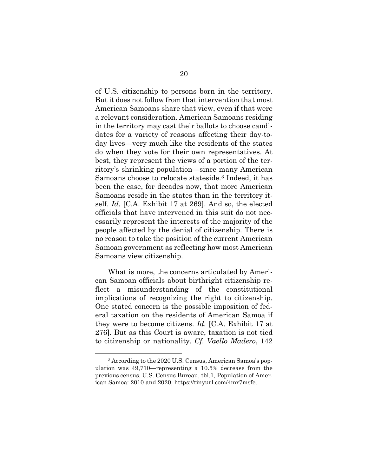of U.S. citizenship to persons born in the territory. But it does not follow from that intervention that most American Samoans share that view, even if that were a relevant consideration. American Samoans residing in the territory may cast their ballots to choose candidates for a variety of reasons affecting their day-today lives—very much like the residents of the states do when they vote for their own representatives. At best, they represent the views of a portion of the territory's shrinking population—since many American Samoans choose to relocate stateside[.3](#page-29-0) Indeed, it has been the case, for decades now, that more American Samoans reside in the states than in the territory itself. *Id.* [C.A. Exhibit 17 at 269]. And so, the elected officials that have intervened in this suit do not necessarily represent the interests of the majority of the people affected by the denial of citizenship. There is no reason to take the position of the current American Samoan government as reflecting how most American Samoans view citizenship.

What is more, the concerns articulated by American Samoan officials about birthright citizenship reflect a misunderstanding of the constitutional implications of recognizing the right to citizenship. One stated concern is the possible imposition of federal taxation on the residents of American Samoa if they were to become citizens. *Id.* [C.A. Exhibit 17 at 276]. But as this Court is aware, taxation is not tied to citizenship or nationality. *Cf. Vaello Madero*, 142

<span id="page-29-0"></span><sup>3</sup> According to the 2020 U.S. Census, American Samoa's population was 49,710—representing a 10.5% decrease from the previous census. U.S. Census Bureau, tbl.1, Population of American Samoa: 2010 and 2020, https://tinyurl.com/4mr7msfe.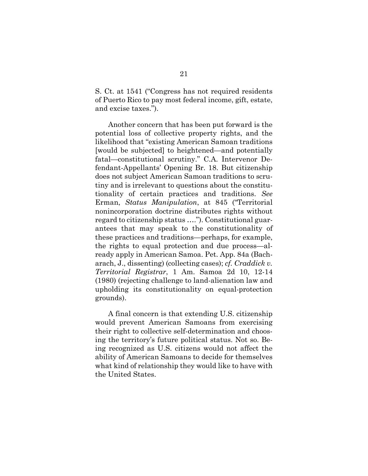S. Ct. at 1541 ("Congress has not required residents of Puerto Rico to pay most federal income, gift, estate, and excise taxes.").

Another concern that has been put forward is the potential loss of collective property rights, and the likelihood that "existing American Samoan traditions [would be subjected] to heightened—and potentially fatal—constitutional scrutiny." C.A. Intervenor Defendant-Appellants' Opening Br. 18. But citizenship does not subject American Samoan traditions to scrutiny and is irrelevant to questions about the constitutionality of certain practices and traditions. *See*  Erman, *Status Manipulation*, at 845 ("Territorial nonincorporation doctrine distributes rights without regard to citizenship status …."). Constitutional guarantees that may speak to the constitutionality of these practices and traditions—perhaps, for example, the rights to equal protection and due process—already apply in American Samoa. Pet. App. 84a (Bacharach, J., dissenting) (collecting cases); *cf. Craddick v. Territorial Registrar*, 1 Am. Samoa 2d 10, 12-14 (1980) (rejecting challenge to land-alienation law and upholding its constitutionality on equal-protection grounds).

A final concern is that extending U.S. citizenship would prevent American Samoans from exercising their right to collective self-determination and choosing the territory's future political status. Not so. Being recognized as U.S. citizens would not affect the ability of American Samoans to decide for themselves what kind of relationship they would like to have with the United States.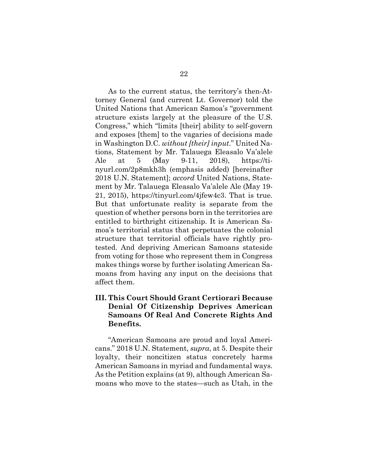As to the current status, the territory's then-Attorney General (and current Lt. Governor) told the United Nations that American Samoa's "government structure exists largely at the pleasure of the U.S. Congress," which "limits [their] ability to self-govern and exposes [them] to the vagaries of decisions made in Washington D.C. *without [their] input*." United Nations, Statement by Mr. Talauega Eleasalo Va'alele Ale at 5 (May 9-11, 2018), [https://ti](https://tinyurl.com/2p8mkh3h)[nyurl.com/2p8mkh3h](https://tinyurl.com/2p8mkh3h) (emphasis added) [hereinafter 2018 U.N. Statement]; *accord* United Nations, Statement by Mr. Talauega Eleasalo Va'alele Ale (May 19- 21, 2015), [https://tinyurl.com/4jfew4c3.](https://tinyurl.com/4jfew4c3) That is true. But that unfortunate reality is separate from the question of whether persons born in the territories are entitled to birthright citizenship. It is American Samoa's territorial status that perpetuates the colonial structure that territorial officials have rightly protested. And depriving American Samoans stateside from voting for those who represent them in Congress makes things worse by further isolating American Samoans from having any input on the decisions that affect them.

## <span id="page-31-0"></span>**III. This Court Should Grant Certiorari Because Denial Of Citizenship Deprives American Samoans Of Real And Concrete Rights And Benefits.**

"American Samoans are proud and loyal Americans." 2018 U.N. Statement, *supra*, at 5. Despite their loyalty, their noncitizen status concretely harms American Samoans in myriad and fundamental ways. As the Petition explains (at 9), although American Samoans who move to the states—such as Utah, in the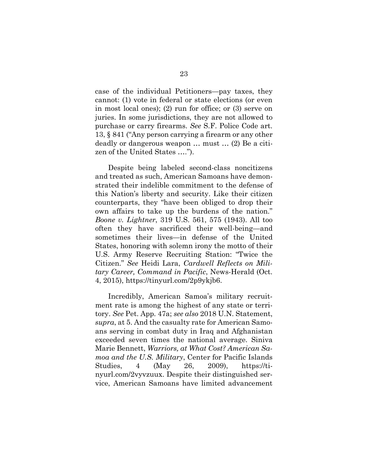case of the individual Petitioners—pay taxes, they cannot: (1) vote in federal or state elections (or even in most local ones); (2) run for office; or (3) serve on juries. In some jurisdictions, they are not allowed to purchase or carry firearms. *See* S.F. Police Code art. 13, § 841 ("Any person carrying a firearm or any other deadly or dangerous weapon … must … (2) Be a citizen of the United States ….").

Despite being labeled second-class noncitizens and treated as such, American Samoans have demonstrated their indelible commitment to the defense of this Nation's liberty and security. Like their citizen counterparts, they "have been obliged to drop their own affairs to take up the burdens of the nation." *Boone v. Lightner*, 319 U.S. 561, 575 (1943). All too often they have sacrificed their well-being—and sometimes their lives—in defense of the United States, honoring with solemn irony the motto of their U.S. Army Reserve Recruiting Station: "Twice the Citizen." *See* Heidi Lara, *Cardwell Reflects on Military Career, Command in Pacific*, News-Herald (Oct. 4, 2015), https://tinyurl.com/2p9ykjb6.

Incredibly, American Samoa's military recruitment rate is among the highest of any state or territory. *See* Pet. App. 47a; *see also* 2018 U.N. Statement, *supra*, at 5. And the casualty rate for American Samoans serving in combat duty in Iraq and Afghanistan exceeded seven times the national average. Siniva Marie Bennett, *Warriors, at What Cost? American Samoa and the U.S. Military*, Center for Pacific Islands Studies, 4 (May 26, 2009), https://tinyurl.com/2vyvzuux. Despite their distinguished service, American Samoans have limited advancement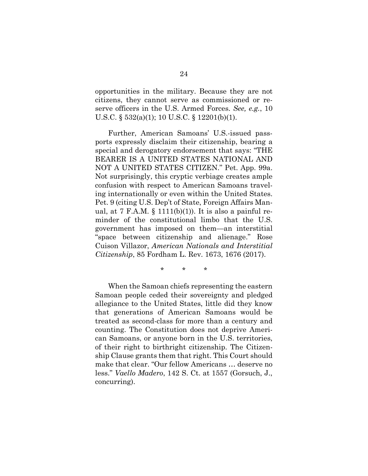opportunities in the military. Because they are not citizens, they cannot serve as commissioned or reserve officers in the U.S. Armed Forces. *See, e.g.*, 10 U.S.C. § 532(a)(1); 10 U.S.C. § 12201(b)(1).

Further, American Samoans' U.S.-issued passports expressly disclaim their citizenship, bearing a special and derogatory endorsement that says: "THE BEARER IS A UNITED STATES NATIONAL AND NOT A UNITED STATES CITIZEN." Pet. App. 99a. Not surprisingly, this cryptic verbiage creates ample confusion with respect to American Samoans traveling internationally or even within the United States. Pet. 9 (citing U.S. Dep't of State, Foreign Affairs Manual, at 7 F.A.M.  $\S$  1111(b)(1)). It is also a painful reminder of the constitutional limbo that the U.S. government has imposed on them—an interstitial "space between citizenship and alienage." Rose Cuison Villazor, *American Nationals and Interstitial Citizenship*, 85 Fordham L. Rev. 1673, 1676 (2017).

\* \* \*

When the Samoan chiefs representing the eastern Samoan people ceded their sovereignty and pledged allegiance to the United States, little did they know that generations of American Samoans would be treated as second-class for more than a century and counting. The Constitution does not deprive American Samoans, or anyone born in the U.S. territories, of their right to birthright citizenship. The Citizenship Clause grants them that right. This Court should make that clear. "Our fellow Americans … deserve no less." *Vaello Madero*, 142 S. Ct. at 1557 (Gorsuch, J., concurring).